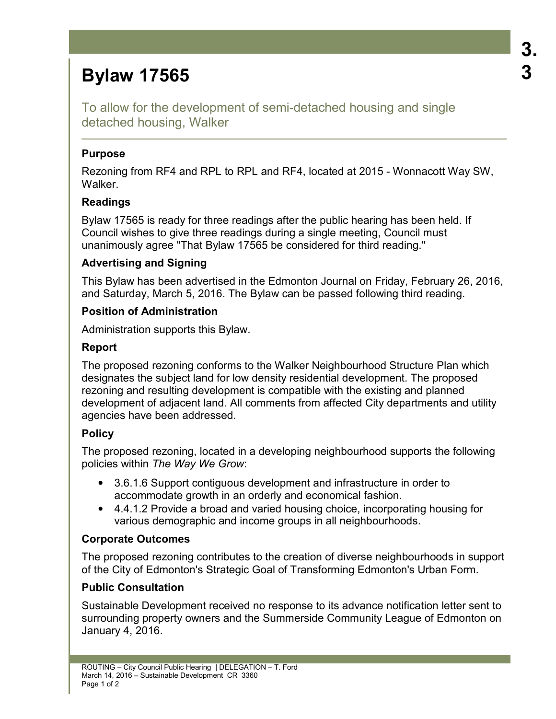# **Bylaw 17565**

To allow for the development of semi-detached housing and single detached housing, Walker

#### **Purpose**

Rezoning from RF4 and RPL to RPL and RF4, located at 2015 - Wonnacott Way SW, Walker.

#### **Readings**

Bylaw 17565 is ready for three readings after the public hearing has been held. If Council wishes to give three readings during a single meeting, Council must unanimously agree "That Bylaw 17565 be considered for third reading."

#### **Advertising and Signing**

This Bylaw has been advertised in the Edmonton Journal on Friday, February 26, 2016, and Saturday, March 5, 2016. The Bylaw can be passed following third reading.

#### **Position of Administration**

Administration supports this Bylaw.

#### **Report**

The proposed rezoning conforms to the Walker Neighbourhood Structure Plan which designates the subject land for low density residential development. The proposed rezoning and resulting development is compatible with the existing and planned development of adjacent land. All comments from affected City departments and utility agencies have been addressed.

## **Policy**

The proposed rezoning, located in a developing neighbourhood supports the following policies within *The Way We Grow*:

- 3.6.1.6 Support contiguous development and infrastructure in order to accommodate growth in an orderly and economical fashion.
- 4.4.1.2 Provide a broad and varied housing choice, incorporating housing for various demographic and income groups in all neighbourhoods.

## **Corporate Outcomes**

The proposed rezoning contributes to the creation of diverse neighbourhoods in support of the City of Edmonton's Strategic Goal of Transforming Edmonton's Urban Form.

#### **Public Consultation**

Sustainable Development received no response to its advance notification letter sent to surrounding property owners and the Summerside Community League of Edmonton on January 4, 2016.